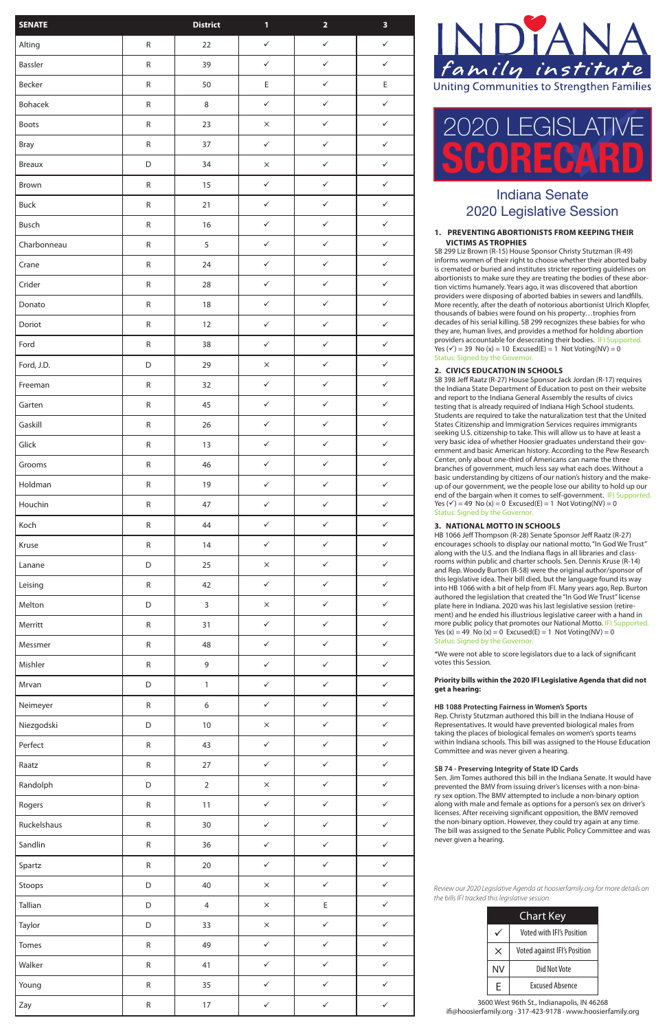# Indiana Senate 2020 Legislative Session

| <b>Chart Key</b> |                              |  |  |  |  |
|------------------|------------------------------|--|--|--|--|
|                  | Voted with IFI's Position    |  |  |  |  |
| $\times$         | Voted against IFI's Position |  |  |  |  |
| <b>NV</b>        | Did Not Vote                 |  |  |  |  |
| F                | <b>Fxcused Absence</b>       |  |  |  |  |



3600 West 96th St., Indianapolis, IN 46268 ifi@hoosierfamily.org · 317-423-9178 · www.hoosierfamily.org

*Review our 2020 Legislative Agenda at hoosierfamily.org for more details on the bills IFI tracked this legislative session.*

### **1. PREVENTING ABORTIONISTS FROM KEEPING THEIR VICTIMS AS TROPHIES**

SB 299 Liz Brown (R-15) House Sponsor Christy Stutzman (R-49) informs women of their right to choose whether their aborted baby is cremated or buried and institutes stricter reporting guidelines on abortionists to make sure they are treating the bodies of these abor tion victims humanely. Years ago, it was discovered that abortion providers were disposing of aborted babies in sewers and landfills. More recently, after the death of notorious abortionist Ulrich Klopfer, thousands of babies were found on his property…trophies from decades of his serial killing. SB 299 recognizes these babies for who they are, human lives, and provides a method for holding abortion providers accountable for desecrating their bodies. IFI Supported. Yes  $({\checkmark})$  = 39 No (x) = 10 Excused(E) = 1 Not Voting(NV) = 0 Status: Signed by the Governor.

# **2. CIVICS EDUCATION IN SCHOOLS**

SB 398 Jeff Raatz (R-27) House Sponsor Jack Jordan (R-17) requires the Indiana State Department of Education to post on their website and report to the Indiana General Assembly the results of civics testing that is already required of Indiana High School students. Students are required to take the naturalization test that the United States Citizenship and Immigration Services requires immigrants seeking U.S. citizenship to take. This will allow us to have at least a very basic idea of whether Hoosier graduates understand their gov ernment and basic American history. According to the Pew Research Center, only about one-third of Americans can name the three branches of government, much less say what each does. Without a basic understanding by citizens of our nation's history and the make up of our government, we the people lose our ability to hold up our end of the bargain when it comes to self-government. IFI Supported. Yes  $({\checkmark})$  = 49 No (x) = 0 Excused(E) = 1 Not Voting(NV) = 0 Status: Signed by the Governor.

# **3. NATIONAL MOTTO IN SCHOOLS**

HB 1066 Jeff Thompson (R-28) Senate Sponsor Jeff Raatz (R-27) encourages schools to display our national motto, "In God We Trust" along with the U.S. and the Indiana flags in all libraries and class rooms within public and charter schools. Sen. Dennis Kruse (R-14) and Rep. Woody Burton (R-58) were the original author/sponsor of this legislative idea. Their bill died, but the language found its way into HB 1066 with a bit of help from IFI. Many years ago, Rep. Burton authored the legislation that created the "In God We Trust" license plate here in Indiana. 2020 was his last legislative session (retire ment) and he ended his illustrious legislative career with a hand in more public policy that promotes our National Motto. IFI Supported. Yes  $(x) = 49$  No  $(x) = 0$  Excused $(E) = 1$  Not Voting(NV) = 0 Status: Signed by the Governor.

\*We were not able to score legislators due to a lack of significant votes this Session.

### **Priority bills within the 2020 IFI Legislative Agenda that did not get a hearing:**

### **HB 1088 Protecting Fairness in Women's Sports**

Rep. Christy Stutzman authored this bill in the Indiana House of Representatives. It would have prevented biological males from taking the places of biological females on women's sports teams within Indiana schools. This bill was assigned to the House Education Committee and was never given a hearing.

#### **SB 74 - Preserving Integrity of State ID Cards**

Sen. Jim Tomes authored this bill in the Indiana Senate. It would have prevented the BMV from issuing driver's licenses with a non-bina ry sex option. The BMV attempted to include a non-binary option along with male and female as options for a person's sex on driver's licenses. After receiving significant opposition, the BMV removed the non-binary option. However, they could try again at any time. The bill was assigned to the Senate Public Policy Committee and was never given a hearing.

| <b>SENATE</b> |             | <b>District</b>  | $\mathbf{1}$ | $\overline{\mathbf{2}}$ | $\overline{\mathbf{3}}$ |
|---------------|-------------|------------------|--------------|-------------------------|-------------------------|
| Alting        | ${\sf R}$   | 22               | $\checkmark$ | $\checkmark$            | $\checkmark$            |
| Bassler       | ${\sf R}$   | 39               | $\checkmark$ | $\checkmark$            | $\checkmark$            |
| Becker        | ${\sf R}$   | 50               | $\mathsf E$  | $\checkmark$            | $\mathsf E$             |
| Bohacek       | ${\sf R}$   | $\,8\,$          | $\checkmark$ | $\checkmark$            | $\checkmark$            |
| Boots         | ${\sf R}$   | 23               | $\times$     | $\checkmark$            | $\checkmark$            |
| <b>Bray</b>   | ${\sf R}$   | 37               | $\checkmark$ | $\checkmark$            | $\checkmark$            |
| <b>Breaux</b> | $\mathsf D$ | 34               | $\times$     | $\checkmark$            | $\checkmark$            |
| Brown         | ${\sf R}$   | 15               | $\checkmark$ | $\checkmark$            | $\checkmark$            |
| <b>Buck</b>   | ${\sf R}$   | 21               | $\checkmark$ | $\checkmark$            | $\checkmark$            |
| Busch         | ${\sf R}$   | 16               | $\checkmark$ | $\checkmark$            | $\checkmark$            |
| Charbonneau   | ${\sf R}$   | 5                | $\checkmark$ | $\checkmark$            | $\checkmark$            |
| Crane         | ${\sf R}$   | 24               | $\checkmark$ | $\checkmark$            | $\checkmark$            |
| Crider        | ${\sf R}$   | 28               | $\checkmark$ | $\checkmark$            | $\checkmark$            |
| Donato        | ${\sf R}$   | 18               | $\checkmark$ | $\checkmark$            | $\checkmark$            |
| Doriot        | ${\sf R}$   | 12               | $\checkmark$ | $\checkmark$            | $\checkmark$            |
| Ford          | ${\sf R}$   | 38               | $\checkmark$ | $\checkmark$            | $\checkmark$            |
| Ford, J.D.    | $\mathsf D$ | 29               | $\times$     | $\checkmark$            | $\checkmark$            |
| Freeman       | ${\sf R}$   | 32               | $\checkmark$ | $\checkmark$            | $\checkmark$            |
| Garten        | ${\sf R}$   | 45               | $\checkmark$ | $\checkmark$            | $\checkmark$            |
| Gaskill       | ${\sf R}$   | 26               | $\checkmark$ | $\checkmark$            | $\checkmark$            |
| Glick         | ${\sf R}$   | 13               | $\checkmark$ | $\checkmark$            | $\checkmark$            |
| Grooms        | ${\sf R}$   | 46               | $\checkmark$ | $\checkmark$            | $\checkmark$            |
| Holdman       | ${\sf R}$   | $19$             | $\checkmark$ | $\checkmark$            | $\checkmark$            |
| Houchin       | ${\sf R}$   | $47\,$           | $\checkmark$ | $\checkmark$            | $\checkmark$            |
| Koch          | ${\sf R}$   | 44               | $\checkmark$ | $\checkmark$            | $\checkmark$            |
| Kruse         | ${\sf R}$   | 14               | $\checkmark$ | $\checkmark$            | $\checkmark$            |
| Lanane        | $\mathsf D$ | 25               | $\times$     | $\checkmark$            | $\checkmark$            |
| Leising       | ${\sf R}$   | 42               | $\checkmark$ | $\checkmark$            | $\checkmark$            |
| Melton        | $\mathsf D$ | $\mathsf{3}$     | $\times$     | $\checkmark$            | $\checkmark$            |
| Merritt       | ${\sf R}$   | 31               | $\checkmark$ | $\checkmark$            | $\checkmark$            |
| Messmer       | ${\sf R}$   | 48               | $\checkmark$ | $\checkmark$            | $\checkmark$            |
| Mishler       | ${\sf R}$   | $\mathsf 9$      | $\checkmark$ | $\checkmark$            | $\checkmark$            |
| Mrvan         | $\mathsf D$ | $\mathbf{1}$     | $\checkmark$ | $\checkmark$            | $\checkmark$            |
| Neimeyer      | ${\sf R}$   | $\boldsymbol{6}$ | $\checkmark$ | $\checkmark$            | $\checkmark$            |
| Niezgodski    | D           | $10\,$           | $\times$     | $\checkmark$            | $\checkmark$            |
| Perfect       | ${\sf R}$   | 43               | $\checkmark$ | $\checkmark$            | $\checkmark$            |
| Raatz         | ${\sf R}$   | 27               | $\checkmark$ | $\checkmark$            | $\checkmark$            |
| Randolph      | D           | $\mathbf 2$      | $\times$     | $\checkmark$            | $\checkmark$            |
| Rogers        | ${\sf R}$   | 11               | $\checkmark$ | $\checkmark$            | $\checkmark$            |
| Ruckelshaus   | ${\sf R}$   | $30\,$           | $\checkmark$ | $\checkmark$            | $\checkmark$            |
| Sandlin       | ${\sf R}$   | 36               | $\checkmark$ | $\checkmark$            | $\checkmark$            |
| Spartz        | ${\sf R}$   | $20\,$           | $\checkmark$ | $\checkmark$            | $\checkmark$            |
| Stoops        | $\mathsf D$ | 40               | $\times$     | $\checkmark$            | $\checkmark$            |
| Tallian       | $\mathsf D$ | $\overline{4}$   | $\times$     | E                       | $\checkmark$            |
| Taylor        | $\mathsf D$ | 33               | $\times$     | $\checkmark$            | $\checkmark$            |
| Tomes         | ${\sf R}$   | 49               | $\checkmark$ | $\checkmark$            | $\checkmark$            |
| Walker        | ${\sf R}$   | 41               | $\checkmark$ | $\checkmark$            | $\checkmark$            |
| Young         | ${\sf R}$   | 35               | $\checkmark$ | $\checkmark$            | $\checkmark$            |
| Zay           | ${\sf R}$   | $17\,$           | $\checkmark$ | $\checkmark$            | $\checkmark$            |